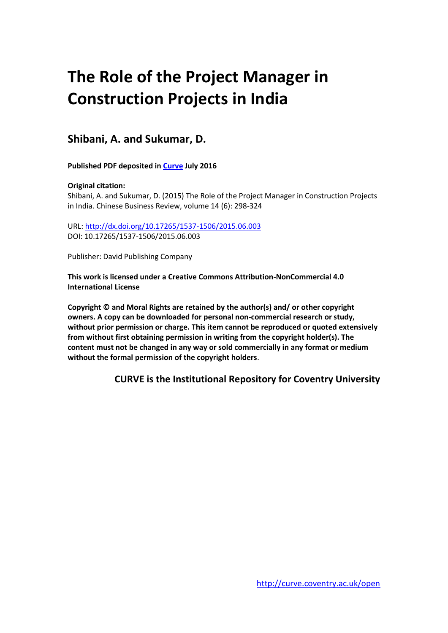# **The Role of the Project Manager in Construction Projects in India**

# **Shibani, A. and Sukumar, D.**

**Published PDF deposited in [Curve](http://curve.coventry.ac.uk/open) July 2016**

# **Original citation:**

Shibani, A. and Sukumar, D. (2015) The Role of the Project Manager in Construction Projects in India. Chinese Business Review, volume 14 (6): 298-324

URL:<http://dx.doi.org/10.17265/1537-1506/2015.06.003> DOI: 10.17265/1537-1506/2015.06.003

Publisher: David Publishing Company

**This work is licensed under a Creative Commons Attribution-NonCommercial 4.0 International License**

**Copyright © and Moral Rights are retained by the author(s) and/ or other copyright owners. A copy can be downloaded for personal non-commercial research or study, without prior permission or charge. This item cannot be reproduced or quoted extensively from without first obtaining permission in writing from the copyright holder(s). The content must not be changed in any way or sold commercially in any format or medium without the formal permission of the copyright holders**.

**CURVE is the Institutional Repository for Coventry University**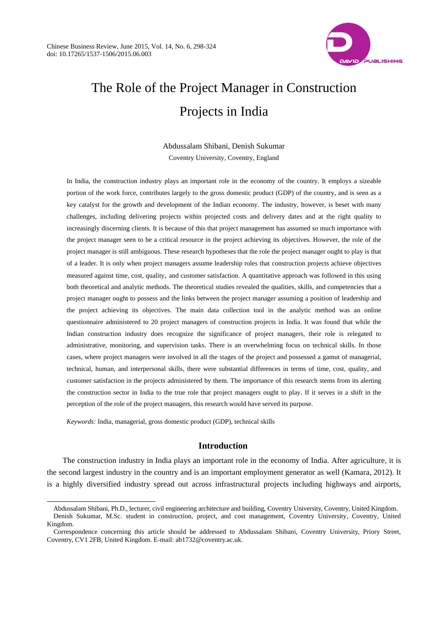

# The Role of the Project Manager in Construction Projects in India

Abdussalam Shibani, Denish Sukumar Coventry University, Coventry, England

In India, the construction industry plays an important role in the economy of the country. It employs a sizeable portion of the work force, contributes largely to the gross domestic product (GDP) of the country, and is seen as a key catalyst for the growth and development of the Indian economy. The industry, however, is beset with many challenges, including delivering projects within projected costs and delivery dates and at the right quality to increasingly discerning clients. It is because of this that project management has assumed so much importance with the project manager seen to be a critical resource in the project achieving its objectives. However, the role of the project manager is still ambiguous. These research hypotheses that the role the project manager ought to play is that of a leader. It is only when project managers assume leadership roles that construction projects achieve objectives measured against time, cost, quality, and customer satisfaction. A quantitative approach was followed in this using both theoretical and analytic methods. The theoretical studies revealed the qualities, skills, and competencies that a project manager ought to possess and the links between the project manager assuming a position of leadership and the project achieving its objectives. The main data collection tool in the analytic method was an online questionnaire administered to 20 project managers of construction projects in India. It was found that while the Indian construction industry does recognize the significance of project managers, their role is relegated to administrative, monitoring, and supervision tasks. There is an overwhelming focus on technical skills. In those cases, where project managers were involved in all the stages of the project and possessed a gamut of managerial, technical, human, and interpersonal skills, there were substantial differences in terms of time, cost, quality, and customer satisfaction in the projects administered by them. The importance of this research stems from its alerting the construction sector in India to the true role that project managers ought to play. If it serves in a shift in the perception of the role of the project managers, this research would have served its purpose.

*Keywords:* India, managerial, gross domestic product (GDP), technical skills

 $\overline{a}$ 

# **Introduction**

The construction industry in India plays an important role in the economy of India. After agriculture, it is the second largest industry in the country and is an important employment generator as well (Kamara, 2012). It is a highly diversified industry spread out across infrastructural projects including highways and airports,

Abdussalam Shibani, Ph.D., lecturer, civil engineering architecture and building, Coventry University, Coventry, United Kingdom. Denish Sukumar, M.Sc. student in construction, project, and cost management, Coventry University, Coventry, United Kingdom.

Correspondence concerning this article should be addressed to Abdussalam Shibani, Coventry University, Priory Street, Coventry, CV1 2FB, United Kingdom. E-mail: ab1732@coventry.ac.uk.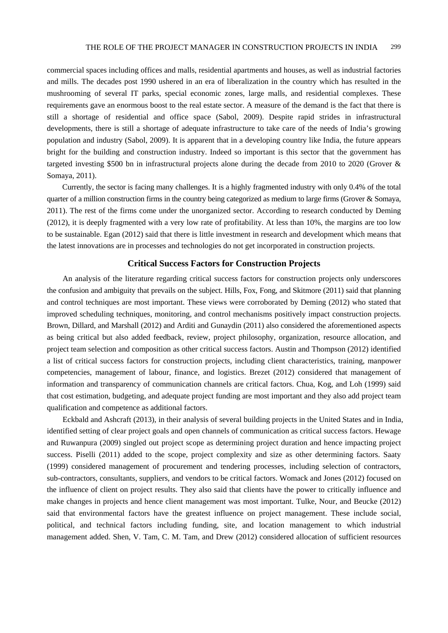commercial spaces including offices and malls, residential apartments and houses, as well as industrial factories and mills. The decades post 1990 ushered in an era of liberalization in the country which has resulted in the mushrooming of several IT parks, special economic zones, large malls, and residential complexes. These requirements gave an enormous boost to the real estate sector. A measure of the demand is the fact that there is still a shortage of residential and office space (Sabol, 2009). Despite rapid strides in infrastructural developments, there is still a shortage of adequate infrastructure to take care of the needs of India's growing population and industry (Sabol, 2009). It is apparent that in a developing country like India, the future appears bright for the building and construction industry. Indeed so important is this sector that the government has targeted investing \$500 bn in infrastructural projects alone during the decade from 2010 to 2020 (Grover & Somaya, 2011).

Currently, the sector is facing many challenges. It is a highly fragmented industry with only 0.4% of the total quarter of a million construction firms in the country being categorized as medium to large firms (Grover & Somaya, 2011). The rest of the firms come under the unorganized sector. According to research conducted by Deming (2012), it is deeply fragmented with a very low rate of profitability. At less than 10%, the margins are too low to be sustainable. Egan (2012) said that there is little investment in research and development which means that the latest innovations are in processes and technologies do not get incorporated in construction projects.

#### **Critical Success Factors for Construction Projects**

An analysis of the literature regarding critical success factors for construction projects only underscores the confusion and ambiguity that prevails on the subject. Hills, Fox, Fong, and Skitmore (2011) said that planning and control techniques are most important. These views were corroborated by Deming (2012) who stated that improved scheduling techniques, monitoring, and control mechanisms positively impact construction projects. Brown, Dillard, and Marshall (2012) and Arditi and Gunaydin (2011) also considered the aforementioned aspects as being critical but also added feedback, review, project philosophy, organization, resource allocation, and project team selection and composition as other critical success factors. Austin and Thompson (2012) identified a list of critical success factors for construction projects, including client characteristics, training, manpower competencies, management of labour, finance, and logistics. Brezet (2012) considered that management of information and transparency of communication channels are critical factors. Chua, Kog, and Loh (1999) said that cost estimation, budgeting, and adequate project funding are most important and they also add project team qualification and competence as additional factors.

Eckbald and Ashcraft (2013), in their analysis of several building projects in the United States and in India, identified setting of clear project goals and open channels of communication as critical success factors. Hewage and Ruwanpura (2009) singled out project scope as determining project duration and hence impacting project success. Piselli (2011) added to the scope, project complexity and size as other determining factors. Saaty (1999) considered management of procurement and tendering processes, including selection of contractors, sub-contractors, consultants, suppliers, and vendors to be critical factors. Womack and Jones (2012) focused on the influence of client on project results. They also said that clients have the power to critically influence and make changes in projects and hence client management was most important. Tulke, Nour, and Beucke (2012) said that environmental factors have the greatest influence on project management. These include social, political, and technical factors including funding, site, and location management to which industrial management added. Shen, V. Tam, C. M. Tam, and Drew (2012) considered allocation of sufficient resources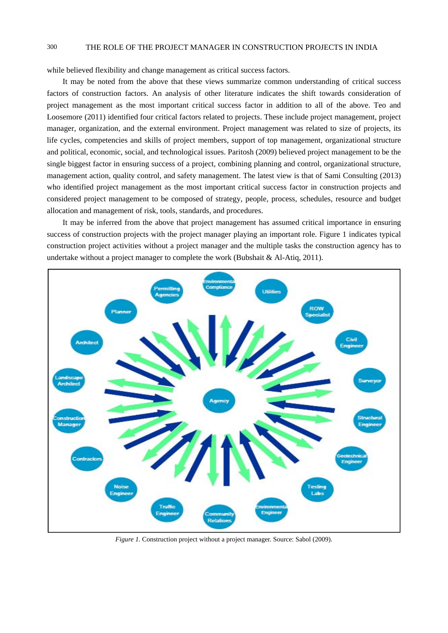while believed flexibility and change management as critical success factors.

It may be noted from the above that these views summarize common understanding of critical success factors of construction factors. An analysis of other literature indicates the shift towards consideration of project management as the most important critical success factor in addition to all of the above. Teo and Loosemore (2011) identified four critical factors related to projects. These include project management, project manager, organization, and the external environment. Project management was related to size of projects, its life cycles, competencies and skills of project members, support of top management, organizational structure and political, economic, social, and technological issues. Paritosh (2009) believed project management to be the single biggest factor in ensuring success of a project, combining planning and control, organizational structure, management action, quality control, and safety management. The latest view is that of Sami Consulting (2013) who identified project management as the most important critical success factor in construction projects and considered project management to be composed of strategy, people, process, schedules, resource and budget allocation and management of risk, tools, standards, and procedures.

It may be inferred from the above that project management has assumed critical importance in ensuring success of construction projects with the project manager playing an important role. Figure 1 indicates typical construction project activities without a project manager and the multiple tasks the construction agency has to undertake without a project manager to complete the work (Bubshait  $\&$  Al-Atiq, 2011).



*Figure 1.* Construction project without a project manager. Source: Sabol (2009).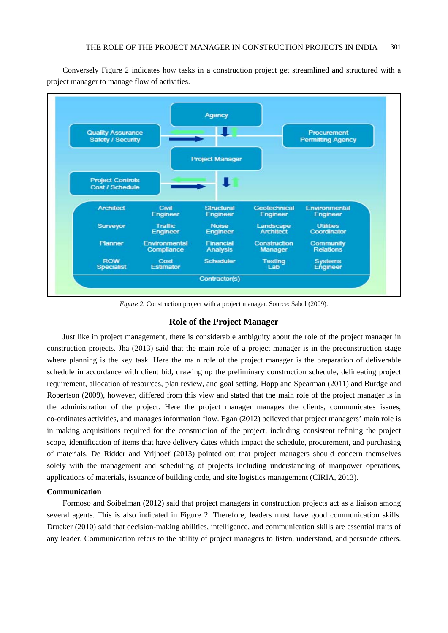

Conversely Figure 2 indicates how tasks in a construction project get streamlined and structured with a project manager to manage flow of activities.

*Figure 2.* Construction project with a project manager. Source: Sabol (2009).

#### **Role of the Project Manager**

Just like in project management, there is considerable ambiguity about the role of the project manager in construction projects. Jha (2013) said that the main role of a project manager is in the preconstruction stage where planning is the key task. Here the main role of the project manager is the preparation of deliverable schedule in accordance with client bid, drawing up the preliminary construction schedule, delineating project requirement, allocation of resources, plan review, and goal setting. Hopp and Spearman (2011) and Burdge and Robertson (2009), however, differed from this view and stated that the main role of the project manager is in the administration of the project. Here the project manager manages the clients, communicates issues, co-ordinates activities, and manages information flow. Egan (2012) believed that project managers' main role is in making acquisitions required for the construction of the project, including consistent refining the project scope, identification of items that have delivery dates which impact the schedule, procurement, and purchasing of materials. De Ridder and Vrijhoef (2013) pointed out that project managers should concern themselves solely with the management and scheduling of projects including understanding of manpower operations, applications of materials, issuance of building code, and site logistics management (CIRIA, 2013).

#### **Communication**

Formoso and Soibelman (2012) said that project managers in construction projects act as a liaison among several agents. This is also indicated in Figure 2. Therefore, leaders must have good communication skills. Drucker (2010) said that decision-making abilities, intelligence, and communication skills are essential traits of any leader. Communication refers to the ability of project managers to listen, understand, and persuade others.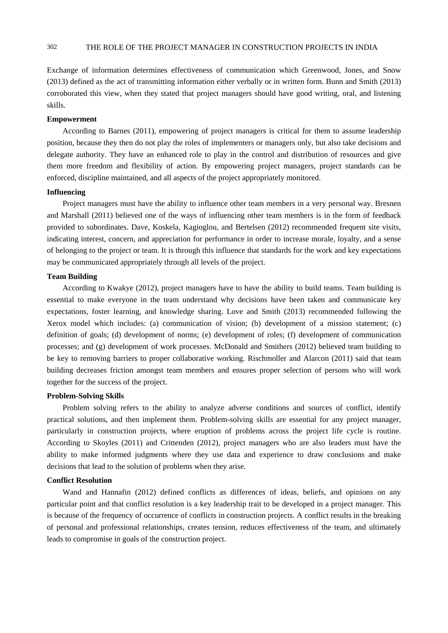Exchange of information determines effectiveness of communication which Greenwood, Jones, and Snow (2013) defined as the act of transmitting information either verbally or in written form. Bunn and Smith (2013) corroborated this view, when they stated that project managers should have good writing, oral, and listening skills.

#### **Empowerment**

According to Barnes (2011), empowering of project managers is critical for them to assume leadership position, because they then do not play the roles of implementers or managers only, but also take decisions and delegate authority. They have an enhanced role to play in the control and distribution of resources and give them more freedom and flexibility of action. By empowering project managers, project standards can be enforced, discipline maintained, and all aspects of the project appropriately monitored.

#### **Influencing**

Project managers must have the ability to influence other team members in a very personal way. Bresnen and Marshall (2011) believed one of the ways of influencing other team members is in the form of feedback provided to subordinates. Dave, Koskela, Kagioglou, and Bertelsen (2012) recommended frequent site visits, indicating interest, concern, and appreciation for performance in order to increase morale, loyalty, and a sense of belonging to the project or team. It is through this influence that standards for the work and key expectations may be communicated appropriately through all levels of the project.

# **Team Building**

According to Kwakye (2012), project managers have to have the ability to build teams. Team building is essential to make everyone in the team understand why decisions have been taken and communicate key expectations, foster learning, and knowledge sharing. Love and Smith (2013) recommended following the Xerox model which includes: (a) communication of vision; (b) development of a mission statement; (c) definition of goals; (d) development of norms; (e) development of roles; (f) development of communication processes; and (g) development of work processes. McDonald and Smithers (2012) believed team building to be key to removing barriers to proper collaborative working. Rischmoller and Alarcon (2011) said that team building decreases friction amongst team members and ensures proper selection of persons who will work together for the success of the project.

#### **Problem-Solving Skills**

Problem solving refers to the ability to analyze adverse conditions and sources of conflict, identify practical solutions, and then implement them. Problem-solving skills are essential for any project manager, particularly in construction projects, where eruption of problems across the project life cycle is routine. According to Skoyles (2011) and Crittenden (2012), project managers who are also leaders must have the ability to make informed judgments where they use data and experience to draw conclusions and make decisions that lead to the solution of problems when they arise.

#### **Conflict Resolution**

Wand and Hannafin (2012) defined conflicts as differences of ideas, beliefs, and opinions on any particular point and that conflict resolution is a key leadership trait to be developed in a project manager. This is because of the frequency of occurrence of conflicts in construction projects. A conflict results in the breaking of personal and professional relationships, creates tension, reduces effectiveness of the team, and ultimately leads to compromise in goals of the construction project.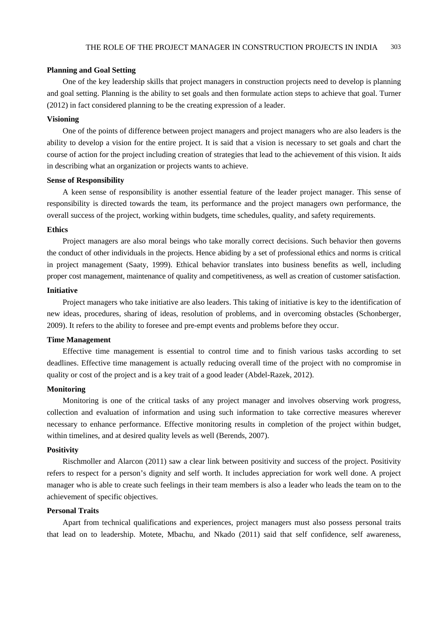#### **Planning and Goal Setting**

One of the key leadership skills that project managers in construction projects need to develop is planning and goal setting. Planning is the ability to set goals and then formulate action steps to achieve that goal. Turner (2012) in fact considered planning to be the creating expression of a leader.

#### **Visioning**

One of the points of difference between project managers and project managers who are also leaders is the ability to develop a vision for the entire project. It is said that a vision is necessary to set goals and chart the course of action for the project including creation of strategies that lead to the achievement of this vision. It aids in describing what an organization or projects wants to achieve.

#### **Sense of Responsibility**

A keen sense of responsibility is another essential feature of the leader project manager. This sense of responsibility is directed towards the team, its performance and the project managers own performance, the overall success of the project, working within budgets, time schedules, quality, and safety requirements.

#### **Ethics**

Project managers are also moral beings who take morally correct decisions. Such behavior then governs the conduct of other individuals in the projects. Hence abiding by a set of professional ethics and norms is critical in project management (Saaty, 1999). Ethical behavior translates into business benefits as well, including proper cost management, maintenance of quality and competitiveness, as well as creation of customer satisfaction.

#### **Initiative**

Project managers who take initiative are also leaders. This taking of initiative is key to the identification of new ideas, procedures, sharing of ideas, resolution of problems, and in overcoming obstacles (Schonberger, 2009). It refers to the ability to foresee and pre-empt events and problems before they occur.

#### **Time Management**

Effective time management is essential to control time and to finish various tasks according to set deadlines. Effective time management is actually reducing overall time of the project with no compromise in quality or cost of the project and is a key trait of a good leader (Abdel-Razek, 2012).

#### **Monitoring**

Monitoring is one of the critical tasks of any project manager and involves observing work progress, collection and evaluation of information and using such information to take corrective measures wherever necessary to enhance performance. Effective monitoring results in completion of the project within budget, within timelines, and at desired quality levels as well (Berends, 2007).

#### **Positivity**

Rischmoller and Alarcon (2011) saw a clear link between positivity and success of the project. Positivity refers to respect for a person's dignity and self worth. It includes appreciation for work well done. A project manager who is able to create such feelings in their team members is also a leader who leads the team on to the achievement of specific objectives.

#### **Personal Traits**

Apart from technical qualifications and experiences, project managers must also possess personal traits that lead on to leadership. Motete, Mbachu, and Nkado (2011) said that self confidence, self awareness,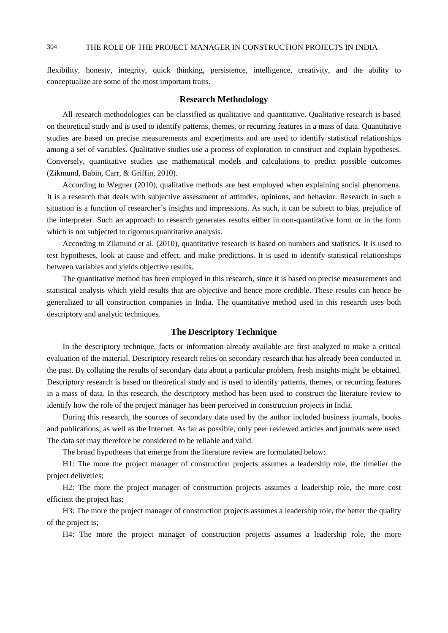flexibility, honesty, integrity, quick thinking, persistence, intelligence, creativity, and the ability to conceptualize are some of the most important traits.

#### **Research Methodology**

All research methodologies can be classified as qualitative and quantitative. Qualitative research is based on theoretical study and is used to identify patterns, themes, or recurring features in a mass of data. Quantitative studies are based on precise measurements and experiments and are used to identify statistical relationships among a set of variables. Qualitative studies use a process of exploration to construct and explain hypotheses. Conversely, quantitative studies use mathematical models and calculations to predict possible outcomes (Zikmund, Babin, Carr, & Griffin, 2010).

According to Wegner (2010), qualitative methods are best employed when explaining social phenomena. It is a research that deals with subjective assessment of attitudes, opinions, and behavior. Research in such a situation is a function of researcher's insights and impressions. As such, it can be subject to bias, prejudice of the interpreter. Such an approach to research generates results either in non-quantitative form or in the form which is not subjected to rigorous quantitative analysis.

According to Zikmund et al. (2010), quantitative research is based on numbers and statistics. It is used to test hypotheses, look at cause and effect, and make predictions. It is used to identify statistical relationships between variables and yields objective results.

The quantitative method has been employed in this research, since it is based on precise measurements and statistical analysis which yield results that are objective and hence more credible. These results can hence be generalized to all construction companies in India. The quantitative method used in this research uses both descriptory and analytic techniques.

# **The Descriptory Technique**

In the descriptory technique, facts or information already available are first analyzed to make a critical evaluation of the material. Descriptory research relies on secondary research that has already been conducted in the past. By collating the results of secondary data about a particular problem, fresh insights might be obtained. Descriptory research is based on theoretical study and is used to identify patterns, themes, or recurring features in a mass of data. In this research, the descriptory method has been used to construct the literature review to identify how the role of the project manager has been perceived in construction projects in India.

During this research, the sources of secondary data used by the author included business journals, books and publications, as well as the Internet. As far as possible, only peer reviewed articles and journals were used. The data set may therefore be considered to be reliable and valid.

The broad hypotheses that emerge from the literature review are formulated below:

H1: The more the project manager of construction projects assumes a leadership role, the timelier the project deliveries;

H2: The more the project manager of construction projects assumes a leadership role, the more cost efficient the project has;

H3: The more the project manager of construction projects assumes a leadership role, the better the quality of the project is;

H4: The more the project manager of construction projects assumes a leadership role, the more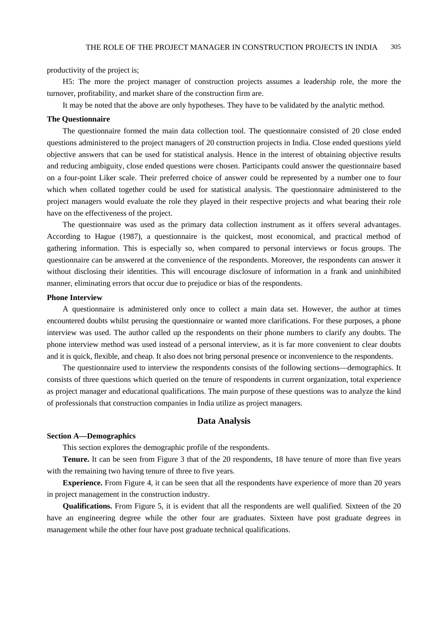productivity of the project is;

H5: The more the project manager of construction projects assumes a leadership role, the more the turnover, profitability, and market share of the construction firm are.

It may be noted that the above are only hypotheses. They have to be validated by the analytic method.

#### **The Questionnaire**

The questionnaire formed the main data collection tool. The questionnaire consisted of 20 close ended questions administered to the project managers of 20 construction projects in India. Close ended questions yield objective answers that can be used for statistical analysis. Hence in the interest of obtaining objective results and reducing ambiguity, close ended questions were chosen. Participants could answer the questionnaire based on a four-point Liker scale. Their preferred choice of answer could be represented by a number one to four which when collated together could be used for statistical analysis. The questionnaire administered to the project managers would evaluate the role they played in their respective projects and what bearing their role have on the effectiveness of the project.

The questionnaire was used as the primary data collection instrument as it offers several advantages. According to Hague (1987), a questionnaire is the quickest, most economical, and practical method of gathering information. This is especially so, when compared to personal interviews or focus groups. The questionnaire can be answered at the convenience of the respondents. Moreover, the respondents can answer it without disclosing their identities. This will encourage disclosure of information in a frank and uninhibited manner, eliminating errors that occur due to prejudice or bias of the respondents.

#### **Phone Interview**

A questionnaire is administered only once to collect a main data set. However, the author at times encountered doubts whilst perusing the questionnaire or wanted more clarifications. For these purposes, a phone interview was used. The author called up the respondents on their phone numbers to clarify any doubts. The phone interview method was used instead of a personal interview, as it is far more convenient to clear doubts and it is quick, flexible, and cheap. It also does not bring personal presence or inconvenience to the respondents.

The questionnaire used to interview the respondents consists of the following sections—demographics. It consists of three questions which queried on the tenure of respondents in current organization, total experience as project manager and educational qualifications. The main purpose of these questions was to analyze the kind of professionals that construction companies in India utilize as project managers.

#### **Data Analysis**

#### **Section A—Demographics**

This section explores the demographic profile of the respondents.

**Tenure.** It can be seen from Figure 3 that of the 20 respondents, 18 have tenure of more than five years with the remaining two having tenure of three to five years.

**Experience.** From Figure 4, it can be seen that all the respondents have experience of more than 20 years in project management in the construction industry.

**Qualifications.** From Figure 5, it is evident that all the respondents are well qualified. Sixteen of the 20 have an engineering degree while the other four are graduates. Sixteen have post graduate degrees in management while the other four have post graduate technical qualifications.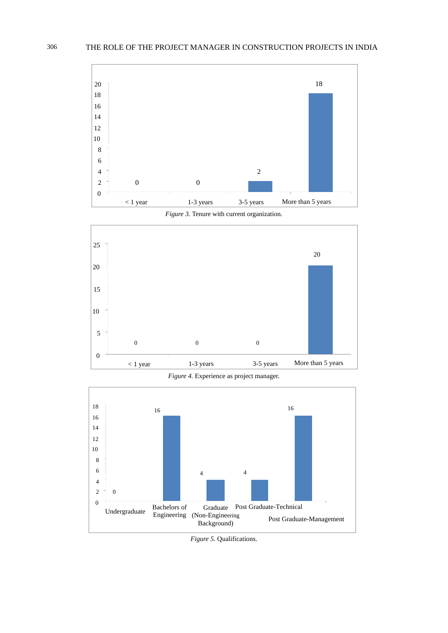

*Figure 3.* Tenure with current organization.



*Figure 4.* Experience as project manager.



*Figure 5.* Qualifications.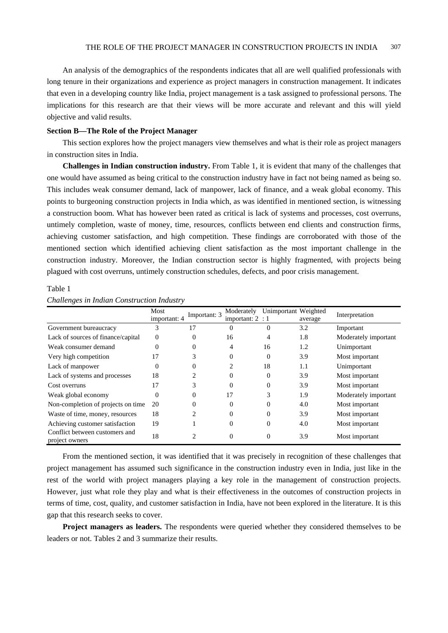An analysis of the demographics of the respondents indicates that all are well qualified professionals with long tenure in their organizations and experience as project managers in construction management. It indicates that even in a developing country like India, project management is a task assigned to professional persons. The implications for this research are that their views will be more accurate and relevant and this will yield objective and valid results.

#### **Section B—The Role of the Project Manager**

This section explores how the project managers view themselves and what is their role as project managers in construction sites in India.

**Challenges in Indian construction industry.** From Table 1, it is evident that many of the challenges that one would have assumed as being critical to the construction industry have in fact not being named as being so. This includes weak consumer demand, lack of manpower, lack of finance, and a weak global economy. This points to burgeoning construction projects in India which, as was identified in mentioned section, is witnessing a construction boom. What has however been rated as critical is lack of systems and processes, cost overruns, untimely completion, waste of money, time, resources, conflicts between end clients and construction firms, achieving customer satisfaction, and high competition. These findings are corroborated with those of the mentioned section which identified achieving client satisfaction as the most important challenge in the construction industry. Moreover, the Indian construction sector is highly fragmented, with projects being plagued with cost overruns, untimely construction schedules, defects, and poor crisis management.

Table 1

| $\mathbf \circ$                                  |                      |                |                                  |                      |         |                      |  |
|--------------------------------------------------|----------------------|----------------|----------------------------------|----------------------|---------|----------------------|--|
|                                                  | Most<br>important: 4 | Important: 3   | Moderately<br>important: $2 : 1$ | Unimportant Weighted |         | Interpretation       |  |
|                                                  |                      |                |                                  |                      | average |                      |  |
| Government bureaucracy                           | 3                    | 17             | 0                                | 0                    | 3.2     | Important            |  |
| Lack of sources of finance/capital               | $\Omega$             | $\Omega$       | 16                               | 4                    | 1.8     | Moderately important |  |
| Weak consumer demand                             | 0                    | $\Omega$       | 4                                | 16                   | 1.2     | Unimportant          |  |
| Very high competition                            | 17                   | 3              | 0                                | $\Omega$             | 3.9     | Most important       |  |
| Lack of manpower                                 | 0                    | $\Omega$       | 2                                | 18                   | 1.1     | Unimportant          |  |
| Lack of systems and processes                    | 18                   | 2              | 0                                | $\theta$             | 3.9     | Most important       |  |
| Cost overruns                                    | 17                   | 3              | 0                                | $\theta$             | 3.9     | Most important       |  |
| Weak global economy                              | $\theta$             | $\theta$       | 17                               | 3                    | 1.9     | Moderately important |  |
| Non-completion of projects on time               | 20                   | $\Omega$       | 0                                | 0                    | 4.0     | Most important       |  |
| Waste of time, money, resources                  | 18                   | 2              | 0                                | $\theta$             | 3.9     | Most important       |  |
| Achieving customer satisfaction                  | 19                   |                | 0                                | $\Omega$             | 4.0     | Most important       |  |
| Conflict between customers and<br>project owners | 18                   | $\overline{c}$ | 0                                | $\theta$             | 3.9     | Most important       |  |

*Challenges in Indian Construction Industry* 

From the mentioned section, it was identified that it was precisely in recognition of these challenges that project management has assumed such significance in the construction industry even in India, just like in the rest of the world with project managers playing a key role in the management of construction projects. However, just what role they play and what is their effectiveness in the outcomes of construction projects in terms of time, cost, quality, and customer satisfaction in India, have not been explored in the literature. It is this gap that this research seeks to cover.

**Project managers as leaders.** The respondents were queried whether they considered themselves to be leaders or not. Tables 2 and 3 summarize their results.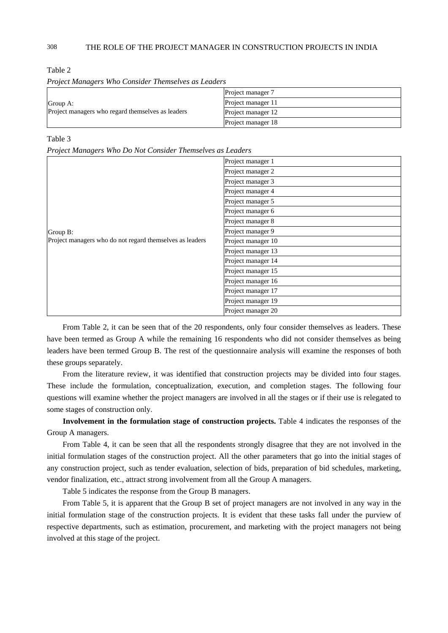| атн<br>н. |  |
|-----------|--|
|-----------|--|

| Group A:<br>Project managers who regard themselves as leaders | Project manager 7  |
|---------------------------------------------------------------|--------------------|
|                                                               | Project manager 11 |
|                                                               | Project manager 12 |
|                                                               | Project manager 18 |

*Project Managers Who Consider Themselves as Leaders*

#### Table 3

*Project Managers Who Do Not Consider Themselves as Leaders* 

| . <sub>0</sub>                                           |                    |
|----------------------------------------------------------|--------------------|
| Group B:                                                 | Project manager 1  |
|                                                          | Project manager 2  |
|                                                          | Project manager 3  |
|                                                          | Project manager 4  |
|                                                          | Project manager 5  |
|                                                          | Project manager 6  |
|                                                          | Project manager 8  |
|                                                          | Project manager 9  |
| Project managers who do not regard themselves as leaders | Project manager 10 |
|                                                          | Project manager 13 |
|                                                          | Project manager 14 |
|                                                          | Project manager 15 |
|                                                          | Project manager 16 |
|                                                          | Project manager 17 |
|                                                          | Project manager 19 |
|                                                          | Project manager 20 |

From Table 2, it can be seen that of the 20 respondents, only four consider themselves as leaders. These have been termed as Group A while the remaining 16 respondents who did not consider themselves as being leaders have been termed Group B. The rest of the questionnaire analysis will examine the responses of both these groups separately.

From the literature review, it was identified that construction projects may be divided into four stages. These include the formulation, conceptualization, execution, and completion stages. The following four questions will examine whether the project managers are involved in all the stages or if their use is relegated to some stages of construction only.

**Involvement in the formulation stage of construction projects.** Table 4 indicates the responses of the Group A managers.

From Table 4, it can be seen that all the respondents strongly disagree that they are not involved in the initial formulation stages of the construction project. All the other parameters that go into the initial stages of any construction project, such as tender evaluation, selection of bids, preparation of bid schedules, marketing, vendor finalization, etc., attract strong involvement from all the Group A managers.

Table 5 indicates the response from the Group B managers.

From Table 5, it is apparent that the Group B set of project managers are not involved in any way in the initial formulation stage of the construction projects. It is evident that these tasks fall under the purview of respective departments, such as estimation, procurement, and marketing with the project managers not being involved at this stage of the project.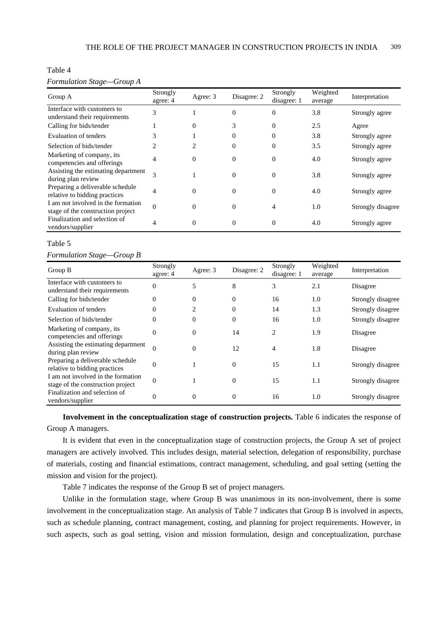# Table 4

#### *Formulation Stage—Group A*

| Group A                                                                 | Strongly<br>agree: 4        | Agree: 3       | Disagree: 2 | Strongly<br>disagree: 1 | Weighted<br>average | Interpretation    |
|-------------------------------------------------------------------------|-----------------------------|----------------|-------------|-------------------------|---------------------|-------------------|
| Interface with customers to<br>understand their requirements            | 3                           |                | $\theta$    | $\Omega$                | 3.8                 | Strongly agree    |
| Calling for bids/tender                                                 |                             | $\Omega$       | 3           | $\Omega$                | 2.5                 | Agree             |
| <b>Evaluation of tenders</b>                                            | 3                           |                | $\Omega$    | $\Omega$                | 3.8                 | Strongly agree    |
| Selection of bids/tender                                                | $\mathcal{D}_{\mathcal{L}}$ | $\mathfrak{D}$ | $\Omega$    | $\Omega$                | 3.5                 | Strongly agree    |
| Marketing of company, its<br>competencies and offerings                 | 4                           | $\theta$       | $\Omega$    | $\Omega$                | 4.0                 | Strongly agree    |
| Assisting the estimating department<br>during plan review               | $\mathcal{R}$               |                | $\Omega$    | $\Omega$                | 3.8                 | Strongly agree    |
| Preparing a deliverable schedule<br>relative to bidding practices       | 4                           | $\Omega$       | $\Omega$    | $\Omega$                | 4.0                 | Strongly agree    |
| I am not involved in the formation<br>stage of the construction project | $\theta$                    | $\Omega$       | $\Omega$    | 4                       | 1.0                 | Strongly disagree |
| Finalization and selection of<br>vendors/supplier                       | 4                           | $\Omega$       | $\Omega$    | $\Omega$                | 4.0                 | Strongly agree    |

### Table 5

#### *Formulation Stage—Group B*

| Group B                                                                 | Strongly<br>agree: 4 | Agree: 3 | Disagree: 2 | Strongly<br>disagree: 1 | Weighted<br>average | Interpretation    |
|-------------------------------------------------------------------------|----------------------|----------|-------------|-------------------------|---------------------|-------------------|
| Interface with customers to<br>understand their requirements            | $\theta$             | 5        | 8           | 3                       | 2.1                 | Disagree          |
| Calling for bids/tender                                                 | 0                    | $\Omega$ | $\theta$    | 16                      | 1.0                 | Strongly disagree |
| Evaluation of tenders                                                   | 0                    |          | $\Omega$    | 14                      | 1.3                 | Strongly disagree |
| Selection of bids/tender                                                | $\theta$             | $\Omega$ | $\theta$    | 16                      | 1.0                 | Strongly disagree |
| Marketing of company, its<br>competencies and offerings                 | $\theta$             | $\theta$ | 14          | 2                       | 1.9                 | Disagree          |
| Assisting the estimating department<br>during plan review               | $\Omega$             | $\theta$ | 12          | 4                       | 1.8                 | Disagree          |
| Preparing a deliverable schedule<br>relative to bidding practices       | $\overline{0}$       |          | $\Omega$    | 15                      | 1.1                 | Strongly disagree |
| I am not involved in the formation<br>stage of the construction project | $\theta$             |          | $\Omega$    | 15                      | 1.1                 | Strongly disagree |
| Finalization and selection of<br>vendors/supplier                       | $\Omega$             | $\theta$ | $\Omega$    | 16                      | 1.0                 | Strongly disagree |

**Involvement in the conceptualization stage of construction projects.** Table 6 indicates the response of Group A managers.

It is evident that even in the conceptualization stage of construction projects, the Group A set of project managers are actively involved. This includes design, material selection, delegation of responsibility, purchase of materials, costing and financial estimations, contract management, scheduling, and goal setting (setting the mission and vision for the project).

Table 7 indicates the response of the Group B set of project managers.

Unlike in the formulation stage, where Group B was unanimous in its non-involvement, there is some involvement in the conceptualization stage. An analysis of Table 7 indicates that Group B is involved in aspects, such as schedule planning, contract management, costing, and planning for project requirements. However, in such aspects, such as goal setting, vision and mission formulation, design and conceptualization, purchase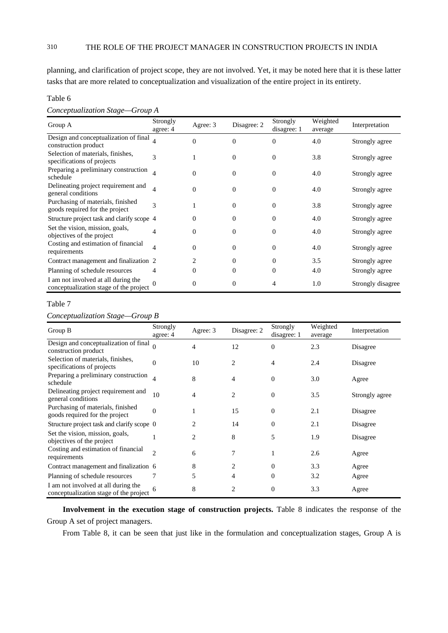planning, and clarification of project scope, they are not involved. Yet, it may be noted here that it is these latter tasks that are more related to conceptualization and visualization of the entire project in its entirety.

#### Table 6

*Conceptualization Stage—Group A* 

| Group A                                                                       | Strongly<br>agree: 4 | Agree: 3       | Disagree: 2 | Strongly<br>disagree: 1 | Weighted<br>average | Interpretation    |
|-------------------------------------------------------------------------------|----------------------|----------------|-------------|-------------------------|---------------------|-------------------|
| Design and conceptualization of final<br>construction product                 |                      | $\Omega$       | $\theta$    | $\Omega$                | 4.0                 | Strongly agree    |
| Selection of materials, finishes,<br>specifications of projects               | $\mathcal{R}$        |                | $\Omega$    | $\Omega$                | 3.8                 | Strongly agree    |
| Preparing a preliminary construction<br>schedule                              |                      | 0              | $\Omega$    | $\Omega$                | 4.0                 | Strongly agree    |
| Delineating project requirement and<br>general conditions                     | 4                    | $\Omega$       | $\Omega$    | $\Omega$                | 4.0                 | Strongly agree    |
| Purchasing of materials, finished<br>goods required for the project           | 3                    |                | $\Omega$    | $\Omega$                | 3.8                 | Strongly agree    |
| Structure project task and clarify scope 4                                    |                      | 0              | $\Omega$    | 0                       | 4.0                 | Strongly agree    |
| Set the vision, mission, goals,<br>objectives of the project                  | 4                    | 0              | $\Omega$    | 0                       | 4.0                 | Strongly agree    |
| Costing and estimation of financial<br>requirements                           | $\overline{4}$       | 0              | $\Omega$    | $\Omega$                | 4.0                 | Strongly agree    |
| Contract management and finalization 2                                        |                      | $\mathfrak{D}$ | $\Omega$    | $\Omega$                | 3.5                 | Strongly agree    |
| Planning of schedule resources                                                | 4                    | 0              | 0           | 0                       | 4.0                 | Strongly agree    |
| I am not involved at all during the<br>conceptualization stage of the project | 0                    | 0              | $\Omega$    |                         | 1.0                 | Strongly disagree |

# Table 7

*Conceptualization Stage—Group B* 

| Group B                                                                       | Strongly<br>agree: 4 | Agree: 3       | Disagree: 2    | Strongly<br>disagree: 1 | Weighted<br>average | Interpretation |
|-------------------------------------------------------------------------------|----------------------|----------------|----------------|-------------------------|---------------------|----------------|
| Design and conceptualization of final<br>construction product                 |                      | 4              | 12             | $\Omega$                | 2.3                 | Disagree       |
| Selection of materials, finishes,<br>specifications of projects               | $\overline{0}$       | 10             | 2              | 4                       | 2.4                 | Disagree       |
| Preparing a preliminary construction<br>schedule                              | 4                    | 8              | $\overline{4}$ | $\Omega$                | 3.0                 | Agree          |
| Delineating project requirement and<br>general conditions                     | 10                   | $\overline{4}$ | 2              | $\theta$                | 3.5                 | Strongly agree |
| Purchasing of materials, finished<br>goods required for the project           | $\overline{0}$       |                | 15             | $\Omega$                | 2.1                 | Disagree       |
| Structure project task and clarify scope 0                                    |                      | 2              | 14             | $\Omega$                | 2.1                 | Disagree       |
| Set the vision, mission, goals,<br>objectives of the project                  |                      | $\overline{c}$ | 8              | 5                       | 1.9                 | Disagree       |
| Costing and estimation of financial<br>requirements                           | $\mathfrak{D}$       | 6              | 7              |                         | 2.6                 | Agree          |
| Contract management and finalization 6                                        |                      | 8              | 2              | $\Omega$                | 3.3                 | Agree          |
| Planning of schedule resources                                                | 7                    | 5              | 4              | $\Omega$                | 3.2                 | Agree          |
| I am not involved at all during the<br>conceptualization stage of the project |                      | 8              | $\overline{c}$ | $\boldsymbol{0}$        | 3.3                 | Agree          |

**Involvement in the execution stage of construction projects.** Table 8 indicates the response of the Group A set of project managers.

From Table 8, it can be seen that just like in the formulation and conceptualization stages, Group A is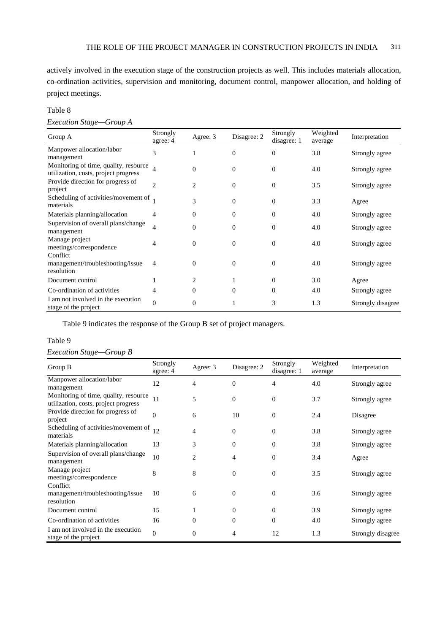actively involved in the execution stage of the construction projects as well. This includes materials allocation, co-ordination activities, supervision and monitoring, document control, manpower allocation, and holding of project meetings.

# Table 8

#### *Execution Stage—Group A*

| Group A                                                                       | Strongly<br>agree: 4 | Agree: 3       | Disagree: 2 | Strongly<br>disagree: 1 | Weighted<br>average | Interpretation    |
|-------------------------------------------------------------------------------|----------------------|----------------|-------------|-------------------------|---------------------|-------------------|
| Manpower allocation/labor<br>management                                       | 3                    |                | $\theta$    | $\Omega$                | 3.8                 | Strongly agree    |
| Monitoring of time, quality, resource<br>utilization, costs, project progress | $\overline{4}$       | $\Omega$       | $\Omega$    | $\Omega$                | 4.0                 | Strongly agree    |
| Provide direction for progress of<br>project                                  | $\mathfrak{D}$       | $\mathfrak{D}$ | $\theta$    | $\theta$                | 3.5                 | Strongly agree    |
| Scheduling of activities/movement of<br>materials                             |                      | 3              | $\Omega$    | $\Omega$                | 3.3                 | Agree             |
| Materials planning/allocation                                                 | 4                    | $\Omega$       | $\Omega$    | $\Omega$                | 4.0                 | Strongly agree    |
| Supervision of overall plans/change<br>management                             | $\overline{4}$       | $\Omega$       | $\Omega$    | $\Omega$                | 4.0                 | Strongly agree    |
| Manage project<br>meetings/correspondence                                     | 4                    | $\Omega$       | $\theta$    | $\Omega$                | 4.0                 | Strongly agree    |
| Conflict<br>management/troubleshooting/issue<br>resolution                    | 4                    | $\Omega$       | $\Omega$    | $\Omega$                | 4.0                 | Strongly agree    |
| Document control                                                              |                      | 2              |             | $\mathbf{0}$            | 3.0                 | Agree             |
| Co-ordination of activities                                                   | 4                    | $\Omega$       | $\Omega$    | $\Omega$                | 4.0                 | Strongly agree    |
| I am not involved in the execution<br>stage of the project                    | $\mathbf{0}$         | $\Omega$       |             | 3                       | 1.3                 | Strongly disagree |

Table 9 indicates the response of the Group B set of project managers.

# Table 9

| Execution Stage—Group B |  |  |
|-------------------------|--|--|
|-------------------------|--|--|

| Group B                                                                       | Strongly<br>agree: 4 | Agree: 3       | Disagree: 2 | Strongly<br>disagree: 1 | Weighted<br>average | Interpretation    |
|-------------------------------------------------------------------------------|----------------------|----------------|-------------|-------------------------|---------------------|-------------------|
| Manpower allocation/labor<br>management                                       | 12                   | $\overline{4}$ | $\Omega$    | 4                       | 4.0                 | Strongly agree    |
| Monitoring of time, quality, resource<br>utilization, costs, project progress | 11                   | 5              | $\theta$    | $\theta$                | 3.7                 | Strongly agree    |
| Provide direction for progress of<br>project                                  | $\mathbf{0}$         | 6              | 10          | $\Omega$                | 2.4                 | Disagree          |
| Scheduling of activities/movement of<br>materials                             | 12                   | 4              | $\theta$    | $\theta$                | 3.8                 | Strongly agree    |
| Materials planning/allocation                                                 | 13                   | 3              | $\Omega$    | $\theta$                | 3.8                 | Strongly agree    |
| Supervision of overall plans/change<br>management                             | 10                   | 2              | 4           | $\Omega$                | 3.4                 | Agree             |
| Manage project<br>meetings/correspondence                                     | 8                    | 8              | $\theta$    | $\Omega$                | 3.5                 | Strongly agree    |
| Conflict<br>management/troubleshooting/issue<br>resolution                    | 10                   | 6              | $\theta$    | $\Omega$                | 3.6                 | Strongly agree    |
| Document control                                                              | 15                   | 1              | $\theta$    | $\theta$                | 3.9                 | Strongly agree    |
| Co-ordination of activities                                                   | 16                   | $\Omega$       | $\theta$    | $\Omega$                | 4.0                 | Strongly agree    |
| I am not involved in the execution<br>stage of the project                    | $\mathbf{0}$         | $\overline{0}$ | 4           | 12                      | 1.3                 | Strongly disagree |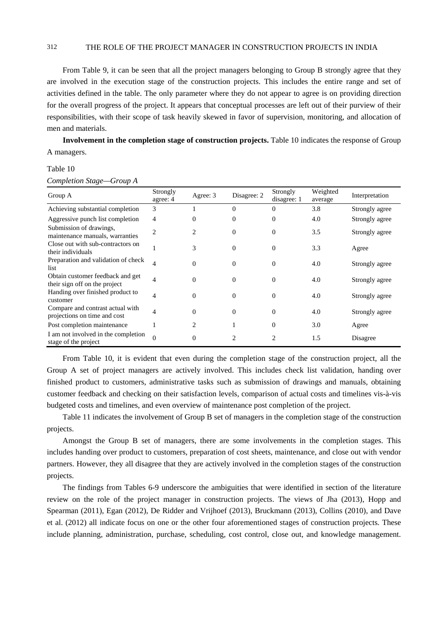From Table 9, it can be seen that all the project managers belonging to Group B strongly agree that they are involved in the execution stage of the construction projects. This includes the entire range and set of activities defined in the table. The only parameter where they do not appear to agree is on providing direction for the overall progress of the project. It appears that conceptual processes are left out of their purview of their responsibilities, with their scope of task heavily skewed in favor of supervision, monitoring, and allocation of men and materials.

**Involvement in the completion stage of construction projects.** Table 10 indicates the response of Group A managers.

#### Table 10

| Completion Stage-Group A |  |
|--------------------------|--|
|--------------------------|--|

| Group A                                                           | Strongly<br>agree: 4 | Agree: 3       | Disagree: 2    | Strongly<br>disagree: 1 | Weighted<br>average | Interpretation |
|-------------------------------------------------------------------|----------------------|----------------|----------------|-------------------------|---------------------|----------------|
| Achieving substantial completion                                  | 3                    |                | $\Omega$       | $\Omega$                | 3.8                 | Strongly agree |
| Aggressive punch list completion                                  | $\overline{4}$       | 0              | $\Omega$       | $\Omega$                | 4.0                 | Strongly agree |
| Submission of drawings,<br>maintenance manuals, warranties        | $\overline{c}$       | 2              | $\Omega$       | $\Omega$                | 3.5                 | Strongly agree |
| Close out with sub-contractors on<br>their individuals            |                      | 3              | $\Omega$       | $\Omega$                | 3.3                 | Agree          |
| Preparation and validation of check<br>list                       | 4                    | $\Omega$       | $\Omega$       | $\Omega$                | 4.0                 | Strongly agree |
| Obtain customer feedback and get<br>their sign off on the project | 4                    | $\theta$       | $\Omega$       | $\Omega$                | 4.0                 | Strongly agree |
| Handing over finished product to<br>customer                      | 4                    | $\Omega$       | $\Omega$       | $\Omega$                | 4.0                 | Strongly agree |
| Compare and contrast actual with<br>projections on time and cost  | 4                    | $\Omega$       | $\Omega$       | $\Omega$                | 4.0                 | Strongly agree |
| Post completion maintenance                                       |                      | $\mathfrak{D}$ |                | $\Omega$                | 3.0                 | Agree          |
| I am not involved in the completion<br>stage of the project       | $\Omega$             | $\Omega$       | $\mathfrak{D}$ | 2                       | 1.5                 | Disagree       |

From Table 10, it is evident that even during the completion stage of the construction project, all the Group A set of project managers are actively involved. This includes check list validation, handing over finished product to customers, administrative tasks such as submission of drawings and manuals, obtaining customer feedback and checking on their satisfaction levels, comparison of actual costs and timelines vis-à-vis budgeted costs and timelines, and even overview of maintenance post completion of the project.

Table 11 indicates the involvement of Group B set of managers in the completion stage of the construction projects.

Amongst the Group B set of managers, there are some involvements in the completion stages. This includes handing over product to customers, preparation of cost sheets, maintenance, and close out with vendor partners. However, they all disagree that they are actively involved in the completion stages of the construction projects.

The findings from Tables 6-9 underscore the ambiguities that were identified in section of the literature review on the role of the project manager in construction projects. The views of Jha (2013), Hopp and Spearman (2011), Egan (2012), De Ridder and Vrijhoef (2013), Bruckmann (2013), Collins (2010), and Dave et al. (2012) all indicate focus on one or the other four aforementioned stages of construction projects. These include planning, administration, purchase, scheduling, cost control, close out, and knowledge management.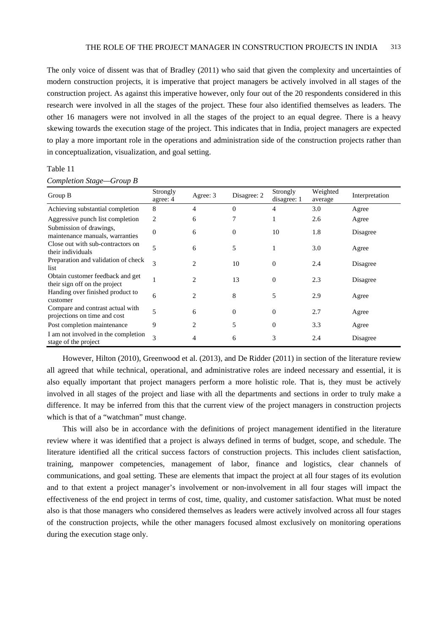The only voice of dissent was that of Bradley (2011) who said that given the complexity and uncertainties of modern construction projects, it is imperative that project managers be actively involved in all stages of the construction project. As against this imperative however, only four out of the 20 respondents considered in this research were involved in all the stages of the project. These four also identified themselves as leaders. The other 16 managers were not involved in all the stages of the project to an equal degree. There is a heavy skewing towards the execution stage of the project. This indicates that in India, project managers are expected to play a more important role in the operations and administration side of the construction projects rather than in conceptualization, visualization, and goal setting.

Table 11

| Group B                                                           | Strongly<br>agree: 4 | Agree: 3                      | Disagree: 2 | Strongly<br>disagree: 1 | Weighted<br>average | Interpretation |
|-------------------------------------------------------------------|----------------------|-------------------------------|-------------|-------------------------|---------------------|----------------|
| Achieving substantial completion                                  | 8                    | 4                             | $\Omega$    | 4                       | 3.0                 | Agree          |
| Aggressive punch list completion                                  | 2                    | 6                             |             |                         | 2.6                 | Agree          |
| Submission of drawings,<br>maintenance manuals, warranties        | $\overline{0}$       | 6                             | 0           | 10                      | 1.8                 | Disagree       |
| Close out with sub-contractors on<br>their individuals            | 5                    | 6                             | 5           |                         | 3.0                 | Agree          |
| Preparation and validation of check<br>list                       | 3                    | 2                             | 10          | $\Omega$                | 2.4                 | Disagree       |
| Obtain customer feedback and get<br>their sign off on the project |                      | $\mathfrak{D}_{\mathfrak{p}}$ | 13          | $\Omega$                | 2.3                 | Disagree       |
| Handing over finished product to<br>customer                      | 6                    | $\mathcal{D}_{\mathcal{L}}$   | 8           | 5                       | 2.9                 | Agree          |
| Compare and contrast actual with<br>projections on time and cost  | $\overline{5}$       | 6                             | $\theta$    | $\Omega$                | 2.7                 | Agree          |
| Post completion maintenance                                       | 9                    | $\overline{c}$                | 5           | $\Omega$                | 3.3                 | Agree          |
| I am not involved in the completion<br>stage of the project       | 3                    | 4                             | 6           | 3                       | 2.4                 | Disagree       |

However, Hilton (2010), Greenwood et al. (2013), and De Ridder (2011) in section of the literature review all agreed that while technical, operational, and administrative roles are indeed necessary and essential, it is also equally important that project managers perform a more holistic role. That is, they must be actively involved in all stages of the project and liase with all the departments and sections in order to truly make a difference. It may be inferred from this that the current view of the project managers in construction projects which is that of a "watchman" must change.

This will also be in accordance with the definitions of project management identified in the literature review where it was identified that a project is always defined in terms of budget, scope, and schedule. The literature identified all the critical success factors of construction projects. This includes client satisfaction, training, manpower competencies, management of labor, finance and logistics, clear channels of communications, and goal setting. These are elements that impact the project at all four stages of its evolution and to that extent a project manager's involvement or non-involvement in all four stages will impact the effectiveness of the end project in terms of cost, time, quality, and customer satisfaction. What must be noted also is that those managers who considered themselves as leaders were actively involved across all four stages of the construction projects, while the other managers focused almost exclusively on monitoring operations during the execution stage only.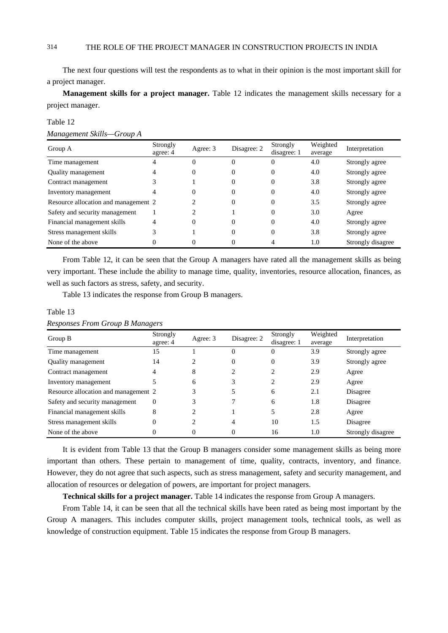The next four questions will test the respondents as to what in their opinion is the most important skill for a project manager.

**Management skills for a project manager.** Table 12 indicates the management skills necessary for a project manager.

#### Table 12

*Management Skills—Group A* 

| Group A                              | Strongly<br>agree: 4 | Agree: 3 | Disagree: 2 | Strongly<br>disagree: 1 | Weighted<br>average | Interpretation    |
|--------------------------------------|----------------------|----------|-------------|-------------------------|---------------------|-------------------|
| Time management                      |                      | O        |             | $\Omega$                | 4.0                 | Strongly agree    |
| Quality management                   |                      | 0        |             | 0                       | 4.0                 | Strongly agree    |
| Contract management                  |                      |          | 0           | $\Omega$                | 3.8                 | Strongly agree    |
| Inventory management                 |                      | 0        |             | $\Omega$                | 4.0                 | Strongly agree    |
| Resource allocation and management 2 |                      |          | $_{0}$      | $\Omega$                | 3.5                 | Strongly agree    |
| Safety and security management       |                      |          |             | $\Omega$                | 3.0                 | Agree             |
| Financial management skills          | 4                    | 0        |             | $\Omega$                | 4.0                 | Strongly agree    |
| Stress management skills             |                      |          |             | $\Omega$                | 3.8                 | Strongly agree    |
| None of the above                    | 0                    |          |             |                         | 1.0                 | Strongly disagree |

From Table 12, it can be seen that the Group A managers have rated all the management skills as being very important. These include the ability to manage time, quality, inventories, resource allocation, finances, as well as such factors as stress, safety, and security.

Table 13 indicates the response from Group B managers.

#### Table 13

*Responses From Group B Managers* 

| Group $B$                            | Strongly<br>agree: 4 | Agree: 3 | Disagree: 2 | Strongly<br>disagree: 1 | Weighted<br>average | Interpretation    |
|--------------------------------------|----------------------|----------|-------------|-------------------------|---------------------|-------------------|
| Time management                      | 15                   |          | 0           | $\theta$                | 3.9                 | Strongly agree    |
| <b>Ouality management</b>            | 14                   |          | $\Omega$    | $\theta$                | 3.9                 | Strongly agree    |
| Contract management                  | 4                    | 8        |             |                         | 2.9                 | Agree             |
| Inventory management                 |                      | 6        |             | 2                       | 2.9                 | Agree             |
| Resource allocation and management 2 |                      |          |             | 6                       | 2.1                 | Disagree          |
| Safety and security management       | $\mathbf{0}$         |          |             | 6                       | 1.8                 | Disagree          |
| Financial management skills          | 8                    | ◠        |             |                         | 2.8                 | Agree             |
| Stress management skills             | $\Omega$             |          | 4           | 10                      | 1.5                 | Disagree          |
| None of the above                    | 0                    | 0        | $\Omega$    | 16                      | 1.0                 | Strongly disagree |

It is evident from Table 13 that the Group B managers consider some management skills as being more important than others. These pertain to management of time, quality, contracts, inventory, and finance. However, they do not agree that such aspects, such as stress management, safety and security management, and allocation of resources or delegation of powers, are important for project managers.

**Technical skills for a project manager.** Table 14 indicates the response from Group A managers.

From Table 14, it can be seen that all the technical skills have been rated as being most important by the Group A managers. This includes computer skills, project management tools, technical tools, as well as knowledge of construction equipment. Table 15 indicates the response from Group B managers.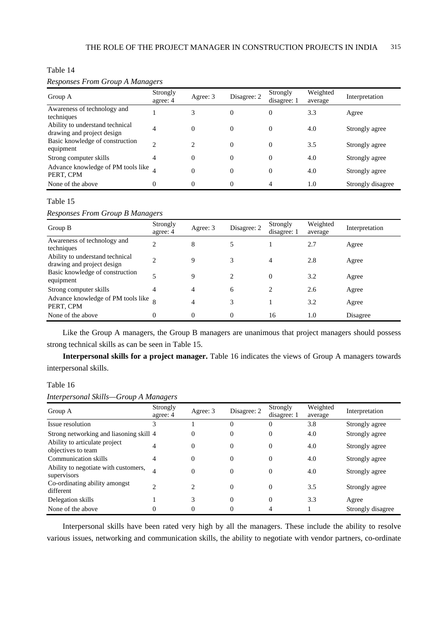# Table 14

# *Responses From Group A Managers*

| Group A                                                       | Strongly<br>agree: 4 | Agree: 3                      | Disagree: 2 | Strongly<br>disagree: 1 | Weighted<br>average | Interpretation    |
|---------------------------------------------------------------|----------------------|-------------------------------|-------------|-------------------------|---------------------|-------------------|
| Awareness of technology and<br>techniques                     |                      | 3                             | $\Omega$    | $\overline{0}$          | 3.3                 | Agree             |
| Ability to understand technical<br>drawing and project design | $\overline{4}$       | $\Omega$                      | $\theta$    | $\overline{0}$          | 4.0                 | Strongly agree    |
| Basic knowledge of construction<br>equipment                  | $\mathfrak{D}$       | $\mathfrak{D}_{\mathfrak{p}}$ | $\Omega$    | $\overline{0}$          | 3.5                 | Strongly agree    |
| Strong computer skills                                        | 4                    | $\Omega$                      | $\Omega$    | $\Omega$                | 4.0                 | Strongly agree    |
| Advance knowledge of PM tools like<br>PERT, CPM               |                      | $\Omega$                      | $\theta$    | $\theta$                | 4.0                 | Strongly agree    |
| None of the above                                             | $\Omega$             | $\Omega$                      | $\Omega$    | 4                       | 1.0                 | Strongly disagree |

#### Table 15

*Responses From Group B Managers* 

| Group B                                                       | Strongly<br>agree: 4 | Agree: 3 | Disagree: 2 | Strongly<br>disagree: 1 | Weighted<br>average | Interpretation |
|---------------------------------------------------------------|----------------------|----------|-------------|-------------------------|---------------------|----------------|
| Awareness of technology and<br>techniques                     | $\overline{c}$       | 8        |             |                         | 2.7                 | Agree          |
| Ability to understand technical<br>drawing and project design | C                    | 9        |             | 4                       | 2.8                 | Agree          |
| Basic knowledge of construction<br>equipment                  |                      | 9        |             | $\Omega$                | 3.2                 | Agree          |
| Strong computer skills                                        | 4                    | 4        | 6           | 2                       | 2.6                 | Agree          |
| Advance knowledge of PM tools like $\sim$<br>PERT, CPM        |                      | 4        | 3           |                         | 3.2                 | Agree          |
| None of the above                                             | $\Omega$             | 0        | 0           | 16                      | 1.0                 | Disagree       |

Like the Group A managers, the Group B managers are unanimous that project managers should possess strong technical skills as can be seen in Table 15.

**Interpersonal skills for a project manager.** Table 16 indicates the views of Group A managers towards interpersonal skills.

# Table 16

*Interpersonal Skills—Group A Managers* 

| Group A                                             | Strongly<br>agree: 4 | Agree: 3       | Disagree: 2 | Strongly<br>disagree: 1 | Weighted<br>average | Interpretation    |
|-----------------------------------------------------|----------------------|----------------|-------------|-------------------------|---------------------|-------------------|
| Issue resolution                                    | 3                    |                |             | $\Omega$                | 3.8                 | Strongly agree    |
| Strong networking and liasoning skill 4             |                      | 0              | $\Omega$    | $\Omega$                | 4.0                 | Strongly agree    |
| Ability to articulate project<br>objectives to team | 4                    | $\Omega$       | $\Omega$    | $\Omega$                | 4.0                 | Strongly agree    |
| Communication skills                                | $\overline{4}$       | $\Omega$       | $\Omega$    | $\Omega$                | 4.0                 | Strongly agree    |
| Ability to negotiate with customers,<br>supervisors | $\overline{4}$       | $\Omega$       | $\Omega$    | $\Omega$                | 4.0                 | Strongly agree    |
| Co-ordinating ability amongst<br>different          | $\mathfrak{D}$       | $\mathfrak{D}$ | $\Omega$    | $\Omega$                | 3.5                 | Strongly agree    |
| Delegation skills                                   |                      |                | $\Omega$    | $\Omega$                | 3.3                 | Agree             |
| None of the above                                   | 0                    | 0              |             |                         |                     | Strongly disagree |

Interpersonal skills have been rated very high by all the managers. These include the ability to resolve various issues, networking and communication skills, the ability to negotiate with vendor partners, co-ordinate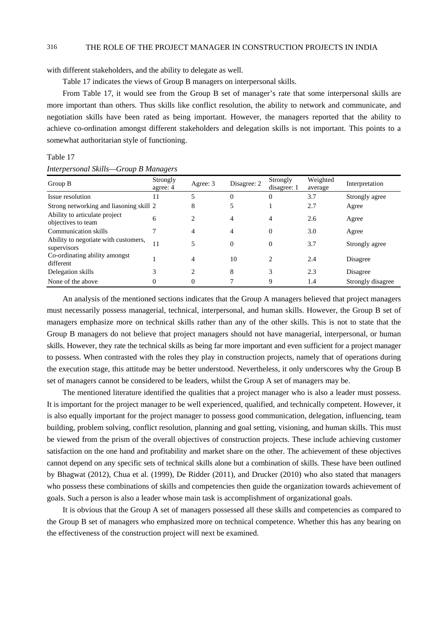with different stakeholders, and the ability to delegate as well.

Table 17 indicates the views of Group B managers on interpersonal skills.

From Table 17, it would see from the Group B set of manager's rate that some interpersonal skills are more important than others. Thus skills like conflict resolution, the ability to network and communicate, and negotiation skills have been rated as being important. However, the managers reported that the ability to achieve co-ordination amongst different stakeholders and delegation skills is not important. This points to a somewhat authoritarian style of functioning.

#### Table 17

*Interpersonal Skills—Group B Managers* 

| Group B                                             | Strongly<br>agree: 4 | Agree: 3       | Disagree: 2 | Strongly<br>disagree: 1 | Weighted<br>average | Interpretation    |
|-----------------------------------------------------|----------------------|----------------|-------------|-------------------------|---------------------|-------------------|
| Issue resolution                                    | 11                   | 5              | 0           | $\Omega$                | 3.7                 | Strongly agree    |
| Strong networking and liasoning skill 2             |                      | 8              |             |                         | 2.7                 | Agree             |
| Ability to articulate project<br>objectives to team | 6                    | $\overline{c}$ | 4           | 4                       | 2.6                 | Agree             |
| Communication skills                                |                      | 4              | 4           | $\Omega$                | 3.0                 | Agree             |
| Ability to negotiate with customers,<br>supervisors | 11                   | 5              | $\theta$    | $\Omega$                | 3.7                 | Strongly agree    |
| Co-ordinating ability amongst<br>different          |                      | $\overline{4}$ | 10          | 2                       | 2.4                 | Disagree          |
| Delegation skills                                   | 3                    | $\overline{c}$ | 8           | 3                       | 2.3                 | Disagree          |
| None of the above                                   | $\Omega$             | 0              |             | 9                       | 1.4                 | Strongly disagree |

An analysis of the mentioned sections indicates that the Group A managers believed that project managers must necessarily possess managerial, technical, interpersonal, and human skills. However, the Group B set of managers emphasize more on technical skills rather than any of the other skills. This is not to state that the Group B managers do not believe that project managers should not have managerial, interpersonal, or human skills. However, they rate the technical skills as being far more important and even sufficient for a project manager to possess. When contrasted with the roles they play in construction projects, namely that of operations during the execution stage, this attitude may be better understood. Nevertheless, it only underscores why the Group B set of managers cannot be considered to be leaders, whilst the Group A set of managers may be.

The mentioned literature identified the qualities that a project manager who is also a leader must possess. It is important for the project manager to be well experienced, qualified, and technically competent. However, it is also equally important for the project manager to possess good communication, delegation, influencing, team building, problem solving, conflict resolution, planning and goal setting, visioning, and human skills. This must be viewed from the prism of the overall objectives of construction projects. These include achieving customer satisfaction on the one hand and profitability and market share on the other. The achievement of these objectives cannot depend on any specific sets of technical skills alone but a combination of skills. These have been outlined by Bhagwat (2012), Chua et al. (1999), De Ridder (2011), and Drucker (2010) who also stated that managers who possess these combinations of skills and competencies then guide the organization towards achievement of goals. Such a person is also a leader whose main task is accomplishment of organizational goals.

It is obvious that the Group A set of managers possessed all these skills and competencies as compared to the Group B set of managers who emphasized more on technical competence. Whether this has any bearing on the effectiveness of the construction project will next be examined.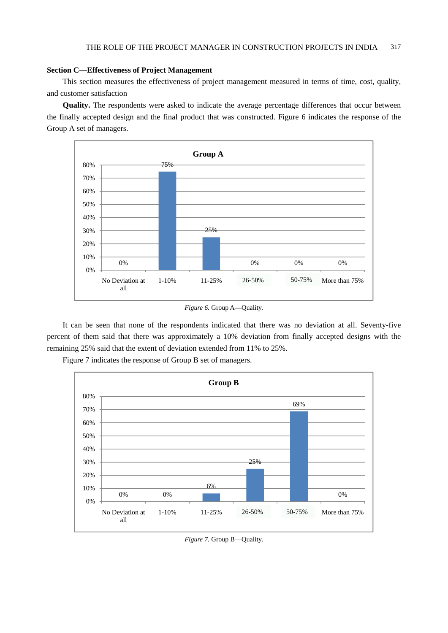# **Section C—Effectiveness of Project Management**

This section measures the effectiveness of project management measured in terms of time, cost, quality, and customer satisfaction

**Quality.** The respondents were asked to indicate the average percentage differences that occur between the finally accepted design and the final product that was constructed. Figure 6 indicates the response of the Group A set of managers.



*Figure 6. Group A-Quality.* 

It can be seen that none of the respondents indicated that there was no deviation at all. Seventy-five percent of them said that there was approximately a 10% deviation from finally accepted designs with the remaining 25% said that the extent of deviation extended from 11% to 25%.



Figure 7 indicates the response of Group B set of managers.

*Figure 7.* Group B—Quality.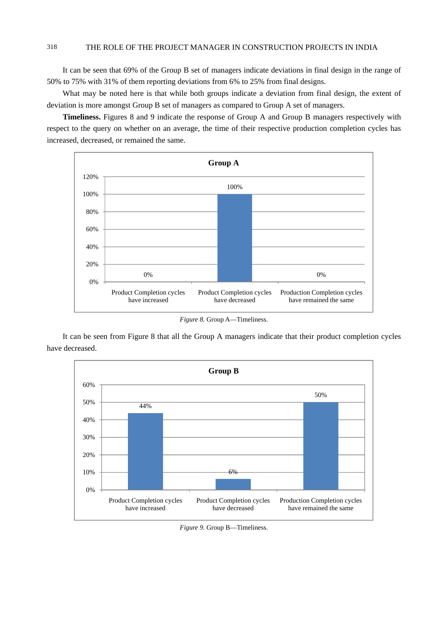It can be seen that 69% of the Group B set of managers indicate deviations in final design in the range of 50% to 75% with 31% of them reporting deviations from 6% to 25% from final designs.

What may be noted here is that while both groups indicate a deviation from final design, the extent of deviation is more amongst Group B set of managers as compared to Group A set of managers.

**Timeliness.** Figures 8 and 9 indicate the response of Group A and Group B managers respectively with respect to the query on whether on an average, the time of their respective production completion cycles has increased, decreased, or remained the same.



*Figure 8.* Group A—Timeliness.

It can be seen from Figure 8 that all the Group A managers indicate that their product completion cycles have decreased.



*Figure 9.* Group B—Timeliness.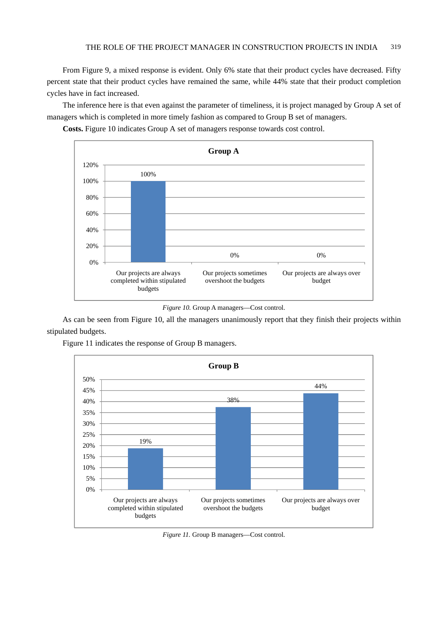From Figure 9, a mixed response is evident. Only 6% state that their product cycles have decreased. Fifty percent state that their product cycles have remained the same, while 44% state that their product completion cycles have in fact increased.

The inference here is that even against the parameter of timeliness, it is project managed by Group A set of managers which is completed in more timely fashion as compared to Group B set of managers.

**Costs.** Figure 10 indicates Group A set of managers response towards cost control.



*Figure 10.* Group A managers—Cost control.

As can be seen from Figure 10, all the managers unanimously report that they finish their projects within stipulated budgets.





*Figure 11.* Group B managers—Cost control.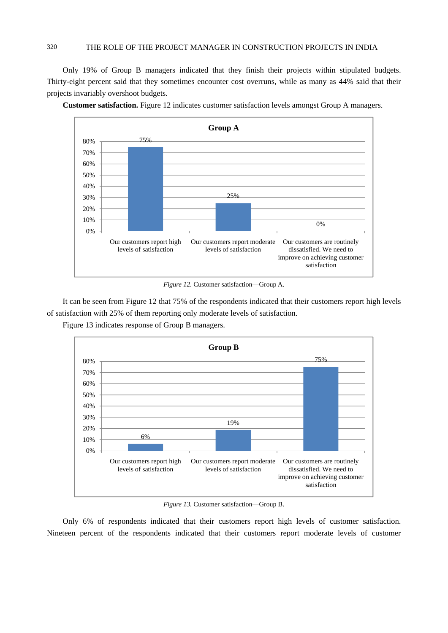Only 19% of Group B managers indicated that they finish their projects within stipulated budgets. Thirty-eight percent said that they sometimes encounter cost overruns, while as many as 44% said that their projects invariably overshoot budgets.



**Customer satisfaction.** Figure 12 indicates customer satisfaction levels amongst Group A managers.

*Figure 12.* Customer satisfaction—Group A.

It can be seen from Figure 12 that 75% of the respondents indicated that their customers report high levels of satisfaction with 25% of them reporting only moderate levels of satisfaction.

Figure 13 indicates response of Group B managers.



*Figure 13.* Customer satisfaction—Group B.

Only 6% of respondents indicated that their customers report high levels of customer satisfaction. Nineteen percent of the respondents indicated that their customers report moderate levels of customer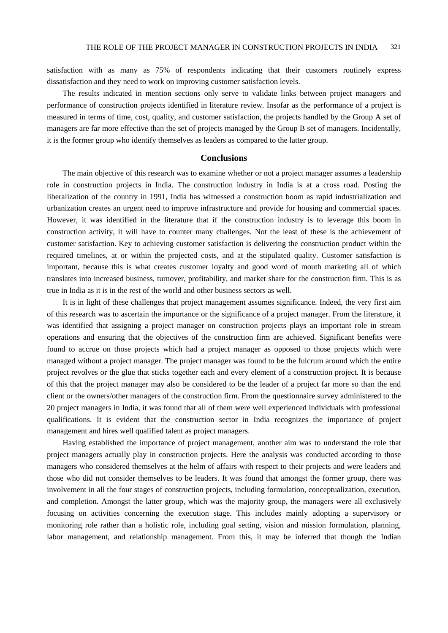satisfaction with as many as 75% of respondents indicating that their customers routinely express dissatisfaction and they need to work on improving customer satisfaction levels.

The results indicated in mention sections only serve to validate links between project managers and performance of construction projects identified in literature review. Insofar as the performance of a project is measured in terms of time, cost, quality, and customer satisfaction, the projects handled by the Group A set of managers are far more effective than the set of projects managed by the Group B set of managers. Incidentally, it is the former group who identify themselves as leaders as compared to the latter group.

# **Conclusions**

The main objective of this research was to examine whether or not a project manager assumes a leadership role in construction projects in India. The construction industry in India is at a cross road. Posting the liberalization of the country in 1991, India has witnessed a construction boom as rapid industrialization and urbanization creates an urgent need to improve infrastructure and provide for housing and commercial spaces. However, it was identified in the literature that if the construction industry is to leverage this boom in construction activity, it will have to counter many challenges. Not the least of these is the achievement of customer satisfaction. Key to achieving customer satisfaction is delivering the construction product within the required timelines, at or within the projected costs, and at the stipulated quality. Customer satisfaction is important, because this is what creates customer loyalty and good word of mouth marketing all of which translates into increased business, turnover, profitability, and market share for the construction firm. This is as true in India as it is in the rest of the world and other business sectors as well.

It is in light of these challenges that project management assumes significance. Indeed, the very first aim of this research was to ascertain the importance or the significance of a project manager. From the literature, it was identified that assigning a project manager on construction projects plays an important role in stream operations and ensuring that the objectives of the construction firm are achieved. Significant benefits were found to accrue on those projects which had a project manager as opposed to those projects which were managed without a project manager. The project manager was found to be the fulcrum around which the entire project revolves or the glue that sticks together each and every element of a construction project. It is because of this that the project manager may also be considered to be the leader of a project far more so than the end client or the owners/other managers of the construction firm. From the questionnaire survey administered to the 20 project managers in India, it was found that all of them were well experienced individuals with professional qualifications. It is evident that the construction sector in India recognizes the importance of project management and hires well qualified talent as project managers.

Having established the importance of project management, another aim was to understand the role that project managers actually play in construction projects. Here the analysis was conducted according to those managers who considered themselves at the helm of affairs with respect to their projects and were leaders and those who did not consider themselves to be leaders. It was found that amongst the former group, there was involvement in all the four stages of construction projects, including formulation, conceptualization, execution, and completion. Amongst the latter group, which was the majority group, the managers were all exclusively focusing on activities concerning the execution stage. This includes mainly adopting a supervisory or monitoring role rather than a holistic role, including goal setting, vision and mission formulation, planning, labor management, and relationship management. From this, it may be inferred that though the Indian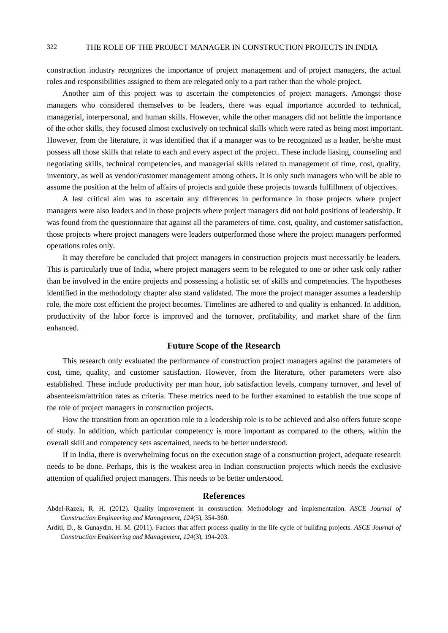construction industry recognizes the importance of project management and of project managers, the actual roles and responsibilities assigned to them are relegated only to a part rather than the whole project.

Another aim of this project was to ascertain the competencies of project managers. Amongst those managers who considered themselves to be leaders, there was equal importance accorded to technical, managerial, interpersonal, and human skills. However, while the other managers did not belittle the importance of the other skills, they focused almost exclusively on technical skills which were rated as being most important. However, from the literature, it was identified that if a manager was to be recognized as a leader, he/she must possess all those skills that relate to each and every aspect of the project. These include liasing, counseling and negotiating skills, technical competencies, and managerial skills related to management of time, cost, quality, inventory, as well as vendor/customer management among others. It is only such managers who will be able to assume the position at the helm of affairs of projects and guide these projects towards fulfillment of objectives.

A last critical aim was to ascertain any differences in performance in those projects where project managers were also leaders and in those projects where project managers did not hold positions of leadership. It was found from the questionnaire that against all the parameters of time, cost, quality, and customer satisfaction, those projects where project managers were leaders outperformed those where the project managers performed operations roles only.

It may therefore be concluded that project managers in construction projects must necessarily be leaders. This is particularly true of India, where project managers seem to be relegated to one or other task only rather than be involved in the entire projects and possessing a holistic set of skills and competencies. The hypotheses identified in the methodology chapter also stand validated. The more the project manager assumes a leadership role, the more cost efficient the project becomes. Timelines are adhered to and quality is enhanced. In addition, productivity of the labor force is improved and the turnover, profitability, and market share of the firm enhanced.

# **Future Scope of the Research**

This research only evaluated the performance of construction project managers against the parameters of cost, time, quality, and customer satisfaction. However, from the literature, other parameters were also established. These include productivity per man hour, job satisfaction levels, company turnover, and level of absenteeism/attrition rates as criteria. These metrics need to be further examined to establish the true scope of the role of project managers in construction projects.

How the transition from an operation role to a leadership role is to be achieved and also offers future scope of study. In addition, which particular competency is more important as compared to the others, within the overall skill and competency sets ascertained, needs to be better understood.

If in India, there is overwhelming focus on the execution stage of a construction project, adequate research needs to be done. Perhaps, this is the weakest area in Indian construction projects which needs the exclusive attention of qualified project managers. This needs to be better understood.

#### **References**

Abdel-Razek, R. H. (2012). Quality improvement in construction: Methodology and implementation. *ASCE Journal of Construction Engineering and Management, 124*(5), 354-360.

Arditi, D., & Gunaydin, H. M. (2011). Factors that affect process quality in the life cycle of building projects. *ASCE Journal of Construction Engineering and Management, 124*(3), 194-203.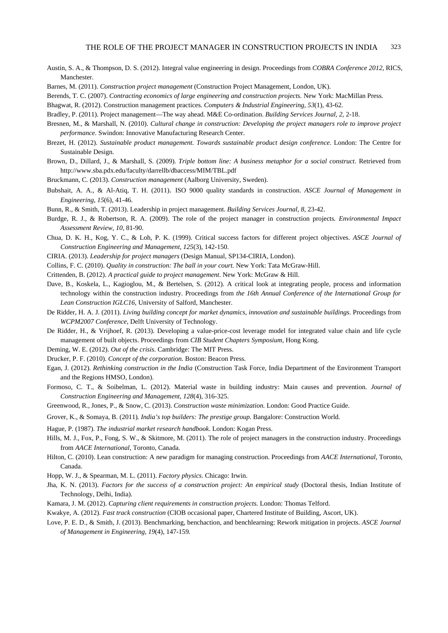- Austin, S. A., & Thompson, D. S. (2012). Integral value engineering in design. Proceedings from *COBRA Conference 2012*, RICS, Manchester.
- Barnes, M. (2011). *Construction project management* (Construction Project Management, London, UK).
- Berends, T. C. (2007). *Contracting economics of large engineering and construction projects.* New York: MacMillan Press.
- Bhagwat, R. (2012). Construction management practices. *Computers & Industrial Engineering, 53*(1), 43-62.
- Bradley, P. (2011). Project management—The way ahead. M&E Co-ordination. *Building Services Journal, 2,* 2-18.
- Bresnen, M., & Marshall, N. (2010). *Cultural change in construction: Developing the project managers role to improve project performance.* Swindon: Innovative Manufacturing Research Center.
- Brezet, H. (2012). *Sustainable product management. Towards sustainable product design conference*. London: The Centre for Sustainable Design.
- Brown, D., Dillard, J., & Marshall, S. (2009). *Triple bottom line: A business metaphor for a social construct*. Retrieved from http://www.sba.pdx.edu/faculty/darrellb/dbaccess/MIM/TBL.pdf
- Bruckmann, C. (2013). *Construction management* (Aalborg University, Sweden).
- Bubshait, A. A., & Al-Atiq, T. H. (2011). ISO 9000 quality standards in construction. *ASCE Journal of Management in Engineering, 15*(6), 41-46.
- Bunn, R., & Smith, T. (2013). Leadership in project management. *Building Services Journal, 8,* 23-42.
- Burdge, R. J., & Robertson, R. A. (2009). The role of the project manager in construction projects*. Environmental Impact Assessment Review, 10,* 81-90.
- Chua, D. K. H., Kog, Y. C., & Loh, P. K. (1999). Critical success factors for different project objectives. *ASCE Journal of Construction Engineering and Management, 125*(3), 142-150.
- CIRIA. (2013). *Leadership for project managers* (Design Manual, SP134-CIRIA, London).
- Collins, F. C. (2010). *Quality in construction: The ball in your court.* New York: Tata McGraw-Hill.
- Crittenden, B. (2012). *A practical guide to project management*. New York: McGraw & Hill.
- Dave, B., Koskela, L., Kagioglou, M., & Bertelsen, S. (2012). A critical look at integrating people, process and information technology within the construction industry. Proceedings from *the 16th Annual Conference of the International Group for Lean Construction IGLC16*, University of Salford, Manchester.
- De Ridder, H. A. J. (2011). *Living building concept for market dynamics, innovation and sustainable buildings*. Proceedings from *WCPM2007 Conference*, Delft University of Technology.
- De Ridder, H., & Vrijhoef, R. (2013). Developing a value-price-cost leverage model for integrated value chain and life cycle management of built objects. Proceedings from *CIB Student Chapters Symposium*, Hong Kong.
- Deming, W. E. (2012). *Out of the crisis*. Cambridge: The MIT Press.
- Drucker, P. F. (2010). *Concept of the corporation.* Boston: Beacon Press.
- Egan, J. (2012). *Rethinking construction in the India* (Construction Task Force, India Department of the Environment Transport and the Regions HMSO, London).
- Formoso, C. T., & Soibelman, L. (2012). Material waste in building industry: Main causes and prevention. *Journal of Construction Engineering and Management, 128*(4), 316-325.
- Greenwood, R., Jones, P., & Snow, C. (2013). *Construction waste minimization.* London: Good Practice Guide.
- Grover, K., & Somaya, B. (2011)*. India's top builders: The prestige group.* Bangalore: Construction World.
- Hague, P. (1987). *The industrial market research handbook*. London: Kogan Press.
- Hills, M. J., Fox, P., Fong, S. W., & Skitmore, M. (2011). The role of project managers in the construction industry. Proceedings from *AACE International,* Toronto, Canada.
- Hilton, C. (2010). Lean construction: A new paradigm for managing construction. Proceedings from *AACE International,* Toronto, Canada.
- Hopp, W. J., & Spearman, M. L. (2011). *Factory physics*. Chicago: Irwin.
- Jha, K. N. (2013). *Factors for the success of a construction project: An empirical study* (Doctoral thesis, Indian Institute of Technology, Delhi, India).
- Kamara, J. M. (2012). *Capturing client requirements in construction projects.* London: Thomas Telford.
- Kwakye, A. (2012). *Fast track construction* (CIOB occasional paper, Chartered Institute of Building, Ascort, UK).
- Love, P. E. D., & Smith, J. (2013). Benchmarking, benchaction, and benchlearning: Rework mitigation in projects. *ASCE Journal of Management in Engineering, 19*(4), 147-159.